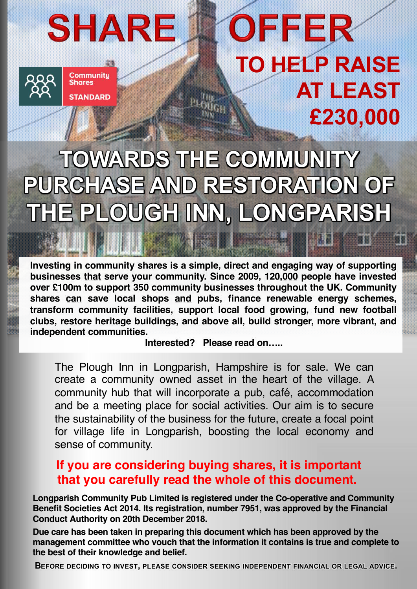# **SHARE**



**Communitu Shares STANDARD** 

# OFFER **TO HELP RAISE AT LEAST £230,000**

# **TOWARDS THE COMMUNITY PURCHASE AND RESTORATION OF THE PLOUGH INN, LONGPARISH**

**Investing in community shares is a simple, direct and engaging way of supporting businesses that serve your community. Since 2009, 120,000 people have invested over £100m to support 350 community businesses throughout the UK. Community shares can save local shops and pubs, finance renewable energy schemes, transform community facilities, support local food growing, fund new football clubs, restore heritage buildings, and above all, build stronger, more vibrant, and independent communities.**

**Interested? Please read on…..**

The Plough Inn in Longparish, Hampshire is for sale. We can create a community owned asset in the heart of the village. A community hub that will incorporate a pub, café, accommodation and be a meeting place for social activities. Our aim is to secure the sustainability of the business for the future, create a focal point for village life in Longparish, boosting the local economy and sense of community.

# **If you are considering buying shares, it is important that you carefully read the whole of this document.**

**Longparish Community Pub Limited is registered under the Co-operative and Community Benefit Societies Act 2014. Its registration, number 7951, was approved by the Financial Conduct Authority on 20th December 2018.**

**Due care has been taken in preparing this document which has been approved by the management committee who vouch that the information it contains is true and complete to the best of their knowledge and belief.**

1 **BEFORE DECIDING TO INVEST, PLEASE CONSIDER SEEKING INDEPENDENT FINANCIAL OR LEGAL ADVICE.**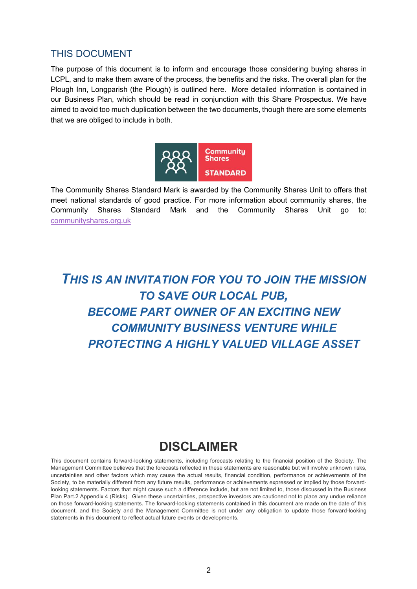# THIS DOCUMENT

The purpose of this document is to inform and encourage those considering buying shares in LCPL, and to make them aware of the process, the benefits and the risks. The overall plan for the Plough Inn, Longparish (the Plough) is outlined here. More detailed information is contained in our Business Plan, which should be read in conjunction with this Share Prospectus. We have aimed to avoid too much duplication between the two documents, though there are some elements that we are obliged to include in both.



The Community Shares Standard Mark is awarded by the Community Shares Unit to offers that meet national standards of good practice. For more information about community shares, the Community Shares Standard Mark and the Community Shares Unit go to: communityshares.org.uk

# *THIS IS AN INVITATION FOR YOU TO JOIN THE MISSION TO SAVE OUR LOCAL PUB, BECOME PART OWNER OF AN EXCITING NEW COMMUNITY BUSINESS VENTURE WHILE PROTECTING A HIGHLY VALUED VILLAGE ASSET*

# **DISCLAIMER**

This document contains forward-looking statements, including forecasts relating to the financial position of the Society. The Management Committee believes that the forecasts reflected in these statements are reasonable but will involve unknown risks, uncertainties and other factors which may cause the actual results, financial condition, performance or achievements of the Society, to be materially different from any future results, performance or achievements expressed or implied by those forwardlooking statements. Factors that might cause such a difference include, but are not limited to, those discussed in the Business Plan Part.2 Appendix 4 (Risks). Given these uncertainties, prospective investors are cautioned not to place any undue reliance on those forward-looking statements. The forward-looking statements contained in this document are made on the date of this document, and the Society and the Management Committee is not under any obligation to update those forward-looking statements in this document to reflect actual future events or developments.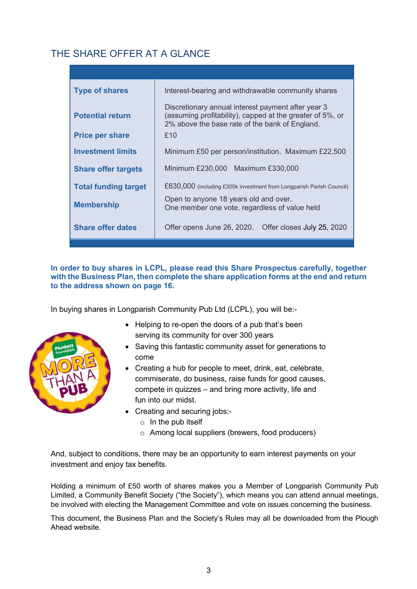# THE SHARE OFFER AT A GLANCE

| <b>Type of shares</b>       | Interest-bearing and withdrawable community shares                                                                                                                |  |  |  |  |
|-----------------------------|-------------------------------------------------------------------------------------------------------------------------------------------------------------------|--|--|--|--|
| <b>Potential return</b>     | Discretionary annual interest payment after year 3<br>(assuming profitability), capped at the greater of 5%, or<br>2% above the base rate of the bank of England. |  |  |  |  |
| <b>Price per share</b>      | £10                                                                                                                                                               |  |  |  |  |
| <b>Investment limits</b>    | Minimum £50 per person/institution. Maximum £22,500                                                                                                               |  |  |  |  |
| <b>Share offer targets</b>  | Minimum £230,000 Maximum £330,000                                                                                                                                 |  |  |  |  |
| <b>Total funding target</b> | £630,000 (including £300k investment from Longparish Parish Council)                                                                                              |  |  |  |  |
| <b>Membership</b>           | Open to anyone 18 years old and over.<br>One member one vote, regardless of value held                                                                            |  |  |  |  |
| <b>Share offer dates</b>    | Offer opens June 26, 2020. Offer closes July 25, 2020                                                                                                             |  |  |  |  |

## **In order to buy shares in LCPL, please read this Share Prospectus carefully, together with the Business Plan, then complete the share application forms at the end and return to the address shown on page 16.**

In buying shares in Longparish Community Pub Ltd (LCPL), you will be:-



- Helping to re-open the doors of a pub that's been serving its community for over 300 years
- Saving this fantastic community asset for generations to come
- Creating a hub for people to meet, drink, eat, celebrate, commiserate, do business, raise funds for good causes, compete in quizzes – and bring more activity, life and fun into our midst.
- Creating and securing jobs:-
	- $\circ$  In the pub itself
	- o Among local suppliers (brewers, food producers)

And, subject to conditions, there may be an opportunity to earn interest payments on your investment and enjoy tax benefits.

Holding a minimum of £50 worth of shares makes you a Member of Longparish Community Pub Limited, a Community Benefit Society ("the Society"), which means you can attend annual meetings, be involved with electing the Management Committee and vote on issues concerning the business.

This document, the Business Plan and the Society's Rules may all be downloaded from the Plough Ahead website.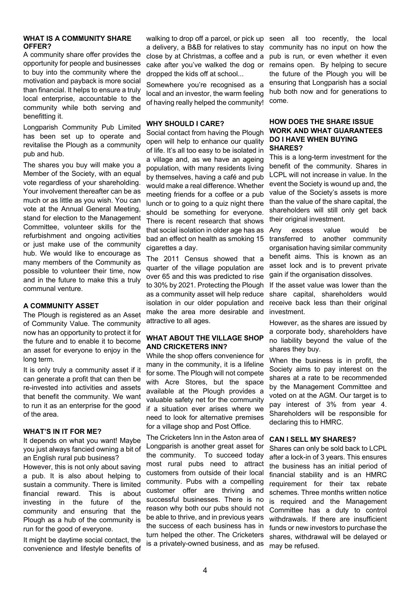#### **WHAT IS A COMMUNITY SHARE OFFER?**

A community share offer provides the opportunity for people and businesses to buy into the community where the motivation and payback is more social than financial. It helps to ensure a truly local enterprise, accountable to the community while both serving and benefitting it.

Longparish Community Pub Limited has been set up to operate and revitalise the Plough as a community pub and hub.

The shares you buy will make you a Member of the Society, with an equal vote regardless of your shareholding. Your involvement thereafter can be as much or as little as you wish. You can vote at the Annual General Meeting, stand for election to the Management Committee, volunteer skills for the refurbishment and ongoing activities or just make use of the community hub. We would like to encourage as many members of the Community as possible to volunteer their time, now and in the future to make this a truly communal venture.

#### **A COMMUNITY ASSET**

The Plough is registered as an Asset of Community Value. The community now has an opportunity to protect it for the future and to enable it to become an asset for everyone to enjoy in the long term.

It is only truly a community asset if it can generate a profit that can then be re-invested into activities and assets that benefit the community. We want to run it as an enterprise for the good of the area.

#### **WHAT'S IN IT FOR ME?**

It depends on what you want! Maybe you just always fancied owning a bit of an English rural pub business?

However, this is not only about saving a pub. It is also about helping to sustain a community. There is limited financial reward. This is about investing in the future of the community and ensuring that the Plough as a hub of the community is run for the good of everyone.

It might be daytime social contact, the convenience and lifestyle benefits of walking to drop off a parcel, or pick up a delivery, a B&B for relatives to stay close by at Christmas, a coffee and a cake after you've walked the dog or dropped the kids off at school...

Somewhere you're recognised as a local and an investor, the warm feeling of having really helped the community!

#### **WHY SHOULD I CARE?**

Social contact from having the Plough open will help to enhance our quality of life. It's all too easy to be isolated in a village and, as we have an ageing population, with many residents living by themselves, having a café and pub would make a real difference. Whether meeting friends for a coffee or a pub lunch or to going to a quiz night there should be something for everyone. There is recent research that shows that social isolation in older age has as bad an effect on health as smoking 15 cigarettes a day.

The 2011 Census showed that a quarter of the village population are over 65 and this was predicted to rise to 30% by 2021. Protecting the Plough as a community asset will help reduce isolation in our older population and make the area more desirable and attractive to all ages.

#### **WHAT ABOUT THE VILLAGE SHOP AND CRICKETERS INN?**

While the shop offers convenience for many in the community, it is a lifeline for some. The Plough will not compete with Acre Stores, but the space available at the Plough provides a valuable safety net for the community if a situation ever arises where we need to look for alternative premises for a village shop and Post Office.

The Cricketers Inn in the Aston area of Longparish is another great asset for the community. To succeed today most rural pubs need to attract customers from outside of their local community. Pubs with a compelling customer offer are thriving and successful businesses. There is no reason why both our pubs should not be able to thrive, and in previous years the success of each business has in turn helped the other. The Cricketers is a privately-owned business, and as

seen all too recently, the local community has no input on how the pub is run, or even whether it even remains open. By helping to secure the future of the Plough you will be ensuring that Longparish has a social hub both now and for generations to come.

#### **HOW DOES THE SHARE ISSUE WORK AND WHAT GUARANTEES DO I HAVE WHEN BUYING SHARES?**

This is a long-term investment for the benefit of the community. Shares in LCPL will not increase in value. In the event the Society is wound up and, the value of the Society's assets is more than the value of the share capital, the shareholders will still only get back their original investment.

Any excess value would be transferred to another community organisation having similar community benefit aims. This is known as an asset lock and is to prevent private gain if the organisation dissolves.

If the asset value was lower than the share capital, shareholders would receive back less than their original investment.

However, as the shares are issued by a corporate body, shareholders have no liability beyond the value of the shares they buy.

When the business is in profit, the Society aims to pay interest on the shares at a rate to be recommended by the Management Committee and voted on at the AGM. Our target is to pay interest of 3% from year 4. Shareholders will be responsible for declaring this to HMRC.

#### **CAN I SELL MY SHARES?**

Shares can only be sold back to LCPL after a lock-in of 3 years. This ensures the business has an initial period of financial stability and is an HMRC requirement for their tax rebate schemes. Three months written notice is required and the Management Committee has a duty to control withdrawals. If there are insufficient funds or new investors to purchase the shares, withdrawal will be delayed or may be refused.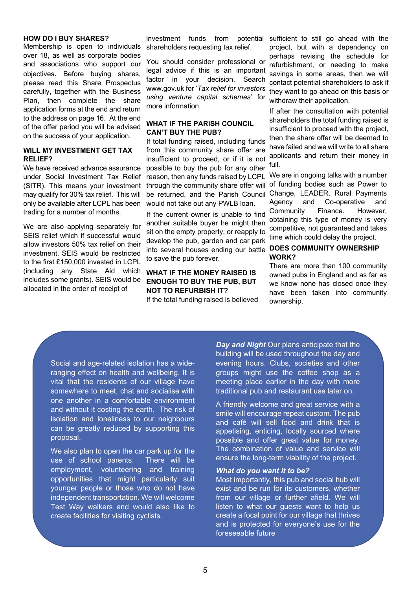#### **HOW DO I BUY SHARES?**

Membership is open to individuals over 18, as well as corporate bodies and associations who support our objectives. Before buying shares, please read this Share Prospectus carefully, together with the Business Plan, then complete the share application forms at the end and return to the address on page 16. At the end of the offer period you will be advised on the success of your application.

#### **WILL MY INVESTMENT GET TAX RELIEF?**

We have received advance assurance under Social Investment Tax Relief (SITR). This means your investment may qualify for 30% tax relief. This will only be available after LCPL has been trading for a number of months.

We are also applying separately for SEIS relief which if successful would allow investors 50% tax relief on their investment. SEIS would be restricted to the first £150,000 invested in LCPL (including any State Aid which includes some grants). SEIS would be allocated in the order of receipt of

shareholders requesting tax relief.

You should consider professional or legal advice if this is an important factor in your decision. Search www.gov.uk for '*Tax relief for investors using venture capital schemes*' for more information.

#### **WHAT IF THE PARISH COUNCIL CAN'T BUY THE PUB?**

If total funding raised, including funds from this community share offer are insufficient to proceed, or if it is not possible to buy the pub for any other reason, then any funds raised by LCPL through the community share offer will be returned, and the Parish Council would not take out any PWLB loan.

If the current owner is unable to find another suitable buyer he might then sit on the empty property, or reapply to develop the pub, garden and car park into several houses ending our battle **DOES COMMUNITY OWNERSHIP**  to save the pub forever.

# **WHAT IF THE MONEY RAISED IS ENOUGH TO BUY THE PUB, BUT NOT TO REFURBISH IT?**

If the total funding raised is believed

investment funds from potential sufficient to still go ahead with the project, but with a dependency on perhaps revising the schedule for refurbishment, or needing to make savings in some areas, then we will contact potential shareholders to ask if they want to go ahead on this basis or withdraw their application.

> If after the consultation with potential shareholders the total funding raised is insufficient to proceed with the project, then the share offer will be deemed to have failed and we will write to all share applicants and return their money in full.

> We are in ongoing talks with a number of funding bodies such as Power to Change, LEADER, Rural Payments Agency and Co-operative and Community Finance. However, obtaining this type of money is very competitive, not guaranteed and takes time which could delay the project.

# **WORK?**

There are more than 100 community owned pubs in England and as far as we know none has closed once they have been taken into community ownership.

Social and age-related isolation has a wideranging effect on health and wellbeing. It is vital that the residents of our village have somewhere to meet, chat and socialise with one another in a comfortable environment and without it costing the earth. The risk of isolation and loneliness to our neighbours can be greatly reduced by supporting this proposal.

We also plan to open the car park up for the use of school parents. There will be employment, volunteering and training opportunities that might particularly suit younger people or those who do not have independent transportation. We will welcome Test Way walkers and would also like to create facilities for visiting cyclists.

*Day and Night* Our plans anticipate that the building will be used throughout the day and evening hours. Clubs, societies and other groups might use the coffee shop as a meeting place earlier in the day with more traditional pub and restaurant use later on.

A friendly welcome and great service with a smile will encourage repeat custom. The pub and café will sell food and drink that is appetising, enticing, locally sourced where possible and offer great value for money. The combination of value and service will ensure the long-term viability of the project.

#### *What do you want it to be?*

Most importantly, this pub and social hub will exist and be run for its customers, whether from our village or further afield. We will listen to what our guests want to help us create a focal point for our village that thrives and is protected for everyone's use for the foreseeable future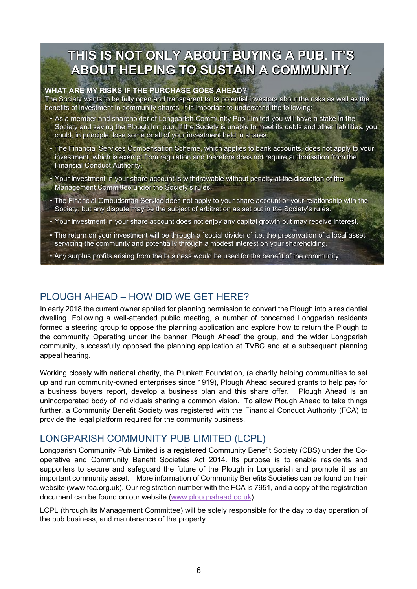# **THIS IS NOT ONLY ABOUT BUYING A PUB. IT'S ABOUT HELPING TO SUSTAIN A COMMUNITY.**

#### **WHAT ARE MY RISKS IF THE PURCHASE GOES AHEAD?**

The Society wants to be fully open and transparent to its potential investors about the risks as well as the benefits of investment in community shares. It is important to understand the following:

- As a member and shareholder of Longparish Community Pub Limited you will have a stake in the Society and saving the Plough Inn pub. If the Society is unable to meet its debts and other liabilities, you could, in principle, lose some or all of your investment held in shares.
- The Financial Services Compensation Scheme, which applies to bank accounts, does not apply to your investment, which is exempt from regulation and therefore does not require authorisation from the Financial Conduct Authority.
- Your investment in your share account is withdrawable without penalty at the discretion of the Management Committee under the Society's rules.
- The Financial Ombudsman Service does not apply to your share account or your relationship with the Society, but any dispute may be the subject of arbitration as set out in the Society's rules.
- Your investment in your share account does not enjoy any capital growth but may receive interest.
- The return on your investment will be through a `social dividend` i.e. the preservation of a local asset servicing the community and potentially through a modest interest on your shareholding.
- Any surplus profits arising from the business would be used for the benefit of the community.

# PLOUGH AHEAD – HOW DID WE GET HERE?

In early 2018 the current owner applied for planning permission to convert the Plough into a residential dwelling. Following a well-attended public meeting, a number of concerned Longparish residents formed a steering group to oppose the planning application and explore how to return the Plough to the community. Operating under the banner 'Plough Ahead' the group, and the wider Longparish community, successfully opposed the planning application at TVBC and at a subsequent planning appeal hearing.

Working closely with national charity, the Plunkett Foundation, (a charity helping communities to set up and run community-owned enterprises since 1919), Plough Ahead secured grants to help pay for a business buyers report, develop a business plan and this share offer. Plough Ahead is an unincorporated body of individuals sharing a common vision. To allow Plough Ahead to take things further, a Community Benefit Society was registered with the Financial Conduct Authority (FCA) to provide the legal platform required for the community business.

# LONGPARISH COMMUNITY PUB LIMITED (LCPL)

Longparish Community Pub Limited is a registered Community Benefit Society (CBS) under the Cooperative and Community Benefit Societies Act 2014. Its purpose is to enable residents and supporters to secure and safeguard the future of the Plough in Longparish and promote it as an important community asset. More information of Community Benefits Societies can be found on their website (www.fca.org.uk). Our registration number with the FCA is 7951, and a copy of the registration document can be found on our website (www.ploughahead.co.uk).

LCPL (through its Management Committee) will be solely responsible for the day to day operation of the pub business, and maintenance of the property.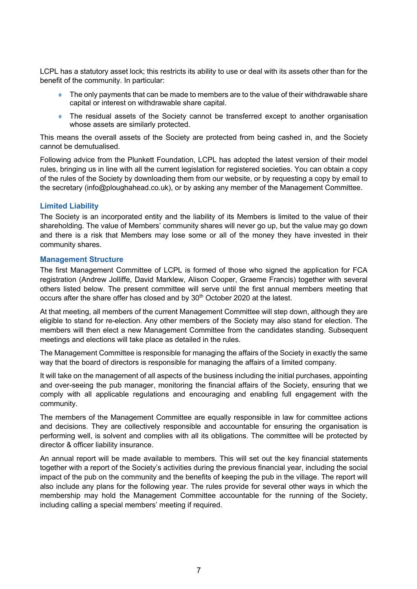LCPL has a statutory asset lock; this restricts its ability to use or deal with its assets other than for the benefit of the community. In particular:

- $\bullet$  The only payments that can be made to members are to the value of their withdrawable share capital or interest on withdrawable share capital.
- The residual assets of the Society cannot be transferred except to another organisation whose assets are similarly protected.

This means the overall assets of the Society are protected from being cashed in, and the Society cannot be demutualised.

Following advice from the Plunkett Foundation, LCPL has adopted the latest version of their model rules, bringing us in line with all the current legislation for registered societies. You can obtain a copy of the rules of the Society by downloading them from our website, or by requesting a copy by email to the secretary (info@ploughahead.co.uk), or by asking any member of the Management Committee.

#### **Limited Liability**

The Society is an incorporated entity and the liability of its Members is limited to the value of their shareholding. The value of Members' community shares will never go up, but the value may go down and there is a risk that Members may lose some or all of the money they have invested in their community shares.

#### **Management Structure**

The first Management Committee of LCPL is formed of those who signed the application for FCA registration (Andrew Jolliffe, David Marklew, Alison Cooper, Graeme Francis) together with several others listed below. The present committee will serve until the first annual members meeting that occurs after the share offer has closed and by 30<sup>th</sup> October 2020 at the latest.

At that meeting, all members of the current Management Committee will step down, although they are eligible to stand for re-election. Any other members of the Society may also stand for election. The members will then elect a new Management Committee from the candidates standing. Subsequent meetings and elections will take place as detailed in the rules.

The Management Committee is responsible for managing the affairs of the Society in exactly the same way that the board of directors is responsible for managing the affairs of a limited company.

It will take on the management of all aspects of the business including the initial purchases, appointing and over-seeing the pub manager, monitoring the financial affairs of the Society, ensuring that we comply with all applicable regulations and encouraging and enabling full engagement with the community.

The members of the Management Committee are equally responsible in law for committee actions and decisions. They are collectively responsible and accountable for ensuring the organisation is performing well, is solvent and complies with all its obligations. The committee will be protected by director & officer liability insurance.

An annual report will be made available to members. This will set out the key financial statements together with a report of the Society's activities during the previous financial year, including the social impact of the pub on the community and the benefits of keeping the pub in the village. The report will also include any plans for the following year. The rules provide for several other ways in which the membership may hold the Management Committee accountable for the running of the Society, including calling a special members' meeting if required.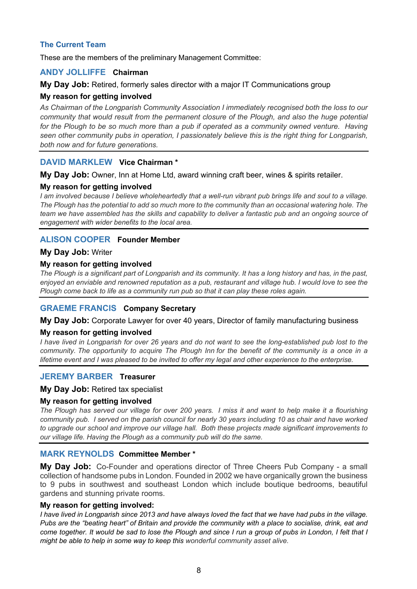# **The Current Team**

These are the members of the preliminary Management Committee:

# **ANDY JOLLIFFE Chairman**

#### **My Day Job:** Retired, formerly sales director with a major IT Communications group

## **My reason for getting involved**

*As Chairman of the Longparish Community Association I immediately recognised both the loss to our community that would result from the permanent closure of the Plough, and also the huge potential*  for the Plough to be so much more than a pub if operated as a community owned venture. Having *seen other community pubs in operation, I passionately believe this is the right thing for Longparish, both now and for future generations.* 

# **DAVID MARKLEW Vice Chairman \***

#### **My Day Job:** Owner, Inn at Home Ltd, award winning craft beer, wines & spirits retailer.

## **My reason for getting involved**

*I am involved because I believe wholeheartedly that a well-run vibrant pub brings life and soul to a village. The Plough has the potential to add so much more to the community than an occasional watering hole. The team we have assembled has the skills and capability to deliver a fantastic pub and an ongoing source of engagement with wider benefits to the local area.*

# **ALISON COOPER Founder Member**

#### **My Day Job:** Writer

## **My reason for getting involved**

*The Plough is a significant part of Longparish and its community. It has a long history and has, in the past, enjoyed an enviable and renowned reputation as a pub, restaurant and village hub. I would love to see the Plough come back to life as a community run pub so that it can play these roles again.*

## **GRAEME FRANCIS Company Secretary**

## **My Day Job:** Corporate Lawyer for over 40 years, Director of family manufacturing business

## **My reason for getting involved**

*I have lived in Longparish for over 26 years and do not want to see the long-established pub lost to the community. The opportunity to acquire The Plough Inn for the benefit of the community is a once in a lifetime event and I was pleased to be invited to offer my legal and other experience to the enterprise.*

## **JEREMY BARBER Treasurer**

## **My Day Job:** Retired tax specialist

## **My reason for getting involved**

*The Plough has served our village for over 200 years. I miss it and want to help make it a flourishing community pub. I served on the parish council for nearly 30 years including 10 as chair and have worked to upgrade our school and improve our village hall. Both these projects made significant improvements to our village life. Having the Plough as a community pub will do the same.* 

## **MARK REYNOLDS Committee Member \***

**My Day Job:** Co-Founder and operations director of Three Cheers Pub Company - a small collection of handsome pubs in London. Founded in 2002 we have organically grown the business to 9 pubs in southwest and southeast London which include boutique bedrooms, beautiful gardens and stunning private rooms.

#### **My reason for getting involved:**

*I have lived in Longparish since 2013 and have always loved the fact that we have had pubs in the village. Pubs are the "beating heart" of Britain and provide the community with a place to socialise, drink, eat and come together. It would be sad to lose the Plough and since I run a group of pubs in London, I felt that I might be able to help in some way to keep this wonderful community asset alive.*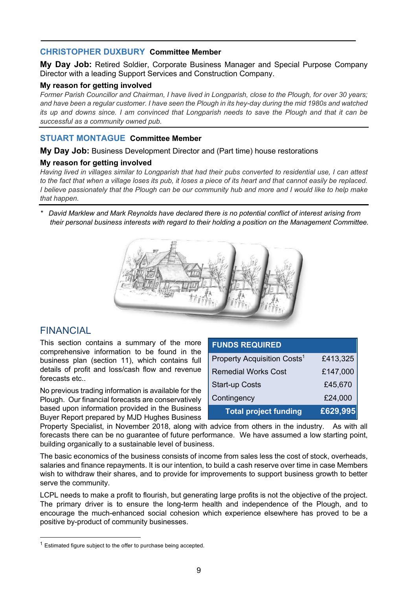# **CHRISTOPHER DUXBURY Committee Member**

**My Day Job:** Retired Soldier, Corporate Business Manager and Special Purpose Company Director with a leading Support Services and Construction Company.

#### **My reason for getting involved**

*Former Parish Councillor and Chairman, I have lived in Longparish, close to the Plough, for over 30 years; and have been a regular customer. I have seen the Plough in its hey-day during the mid 1980s and watched its up and downs since. I am convinced that Longparish needs to save the Plough and that it can be successful as a community owned pub.*

# **STUART MONTAGUE Committee Member**

#### **My Day Job:** Business Development Director and (Part time) house restorations

## **My reason for getting involved**

*Having lived in villages similar to Longparish that had their pubs converted to residential use, I can attest to the fact that when a village loses its pub, it loses a piece of its heart and that cannot easily be replaced. I believe passionately that the Plough can be our community hub and more and I would like to help make that happen.*

*\* David Marklew and Mark Reynolds have declared there is no potential conflict of interest arising from their personal business interests with regard to their holding a position on the Management Committee.*



# **FINANCIAL**

This section contains a summary of the more comprehensive information to be found in the business plan (section 11), which contains full details of profit and loss/cash flow and revenue forecasts etc..

No previous trading information is available for the Plough. Our financial forecasts are conservatively based upon information provided in the Business Buyer Report prepared by MJD Hughes Business

| <b>FUNDS REQUIRED</b>                   |          |  |  |
|-----------------------------------------|----------|--|--|
| Property Acquisition Costs <sup>1</sup> | £413,325 |  |  |
| <b>Remedial Works Cost</b>              | £147,000 |  |  |
| <b>Start-up Costs</b>                   | £45,670  |  |  |
| Contingency                             | £24,000  |  |  |
| <b>Total project funding</b>            | £629,995 |  |  |

Property Specialist, in November 2018, along with advice from others in the industry. As with all forecasts there can be no guarantee of future performance. We have assumed a low starting point, building organically to a sustainable level of business.

The basic economics of the business consists of income from sales less the cost of stock, overheads, salaries and finance repayments. It is our intention, to build a cash reserve over time in case Members wish to withdraw their shares, and to provide for improvements to support business growth to better serve the community.

LCPL needs to make a profit to flourish, but generating large profits is not the objective of the project. The primary driver is to ensure the long-term health and independence of the Plough, and to encourage the much-enhanced social cohesion which experience elsewhere has proved to be a positive by-product of community businesses.

 $1$  Estimated figure subject to the offer to purchase being accepted.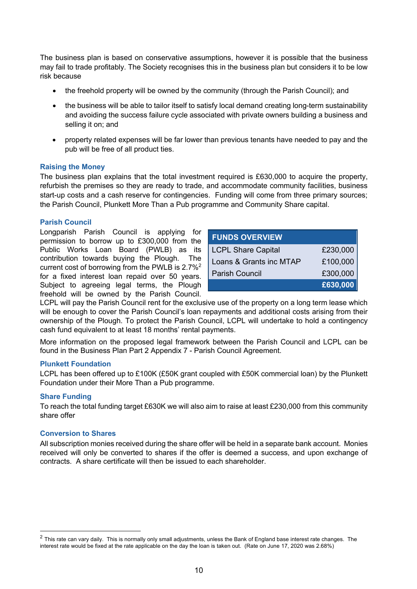The business plan is based on conservative assumptions, however it is possible that the business may fail to trade profitably. The Society recognises this in the business plan but considers it to be low risk because

- the freehold property will be owned by the community (through the Parish Council); and
- the business will be able to tailor itself to satisfy local demand creating long-term sustainability and avoiding the success failure cycle associated with private owners building a business and selling it on; and
- property related expenses will be far lower than previous tenants have needed to pay and the pub will be free of all product ties.

#### **Raising the Money**

The business plan explains that the total investment required is £630,000 to acquire the property, refurbish the premises so they are ready to trade, and accommodate community facilities, business start-up costs and a cash reserve for contingencies. Funding will come from three primary sources; the Parish Council, Plunkett More Than a Pub programme and Community Share capital.

#### **Parish Council**

Longparish Parish Council is applying for permission to borrow up to £300,000 from the Public Works Loan Board (PWLB) as its contribution towards buying the Plough. The current cost of borrowing from the PWLB is 2.7%2 for a fixed interest loan repaid over 50 years. Subject to agreeing legal terms, the Plough freehold will be owned by the Parish Council.

| <b>FUNDS OVERVIEW</b>     |          |  |  |  |  |
|---------------------------|----------|--|--|--|--|
| <b>LCPL Share Capital</b> | £230,000 |  |  |  |  |
| Loans & Grants inc MTAP   | £100,000 |  |  |  |  |
| <b>Parish Council</b>     | £300,000 |  |  |  |  |
|                           | £630,000 |  |  |  |  |

LCPL will pay the Parish Council rent for the exclusive use of the property on a long term lease which will be enough to cover the Parish Council's loan repayments and additional costs arising from their ownership of the Plough. To protect the Parish Council, LCPL will undertake to hold a contingency cash fund equivalent to at least 18 months' rental payments.

More information on the proposed legal framework between the Parish Council and LCPL can be found in the Business Plan Part 2 Appendix 7 - Parish Council Agreement.

#### **Plunkett Foundation**

LCPL has been offered up to £100K (£50K grant coupled with £50K commercial loan) by the Plunkett Foundation under their More Than a Pub programme.

#### **Share Funding**

To reach the total funding target £630K we will also aim to raise at least £230,000 from this community share offer

#### **Conversion to Shares**

All subscription monies received during the share offer will be held in a separate bank account. Monies received will only be converted to shares if the offer is deemed a success, and upon exchange of contracts. A share certificate will then be issued to each shareholder.

 $2$  This rate can vary daily. This is normally only small adjustments, unless the Bank of England base interest rate changes. The interest rate would be fixed at the rate applicable on the day the loan is taken out. (Rate on June 17, 2020 was 2.68%)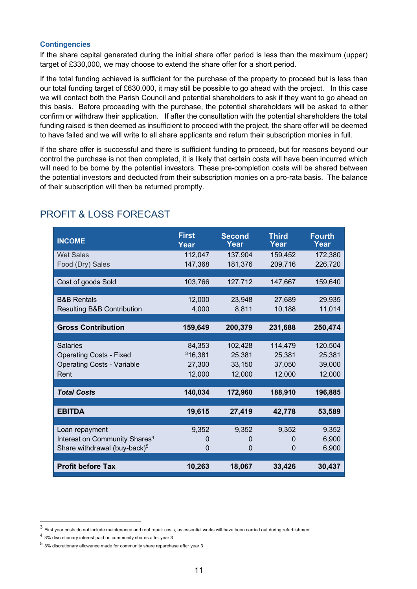#### **Contingencies**

If the share capital generated during the initial share offer period is less than the maximum (upper) target of £330,000, we may choose to extend the share offer for a short period.

If the total funding achieved is sufficient for the purchase of the property to proceed but is less than our total funding target of £630,000, it may still be possible to go ahead with the project. In this case we will contact both the Parish Council and potential shareholders to ask if they want to go ahead on this basis. Before proceeding with the purchase, the potential shareholders will be asked to either confirm or withdraw their application. If after the consultation with the potential shareholders the total funding raised is then deemed as insufficient to proceed with the project, the share offer will be deemed to have failed and we will write to all share applicants and return their subscription monies in full.

If the share offer is successful and there is sufficient funding to proceed, but for reasons beyond our control the purchase is not then completed, it is likely that certain costs will have been incurred which will need to be borne by the potential investors. These pre-completion costs will be shared between the potential investors and deducted from their subscription monies on a pro-rata basis. The balance of their subscription will then be returned promptly.

| <b>INCOME</b>                             | <b>First</b><br>Year | <b>Second</b><br>Year | <b>Third</b><br>Year | <b>Fourth</b><br>Year |
|-------------------------------------------|----------------------|-----------------------|----------------------|-----------------------|
| <b>Wet Sales</b>                          | 112,047              | 137,904               | 159,452              | 172,380               |
| Food (Dry) Sales                          | 147,368              | 181,376               | 209,716              | 226,720               |
|                                           |                      |                       |                      |                       |
| Cost of goods Sold                        | 103,766              | 127,712               | 147,667              | 159,640               |
|                                           |                      |                       |                      |                       |
| <b>B&amp;B Rentals</b>                    | 12,000               | 23,948                | 27,689               | 29,935                |
| <b>Resulting B&amp;B Contribution</b>     | 4,000                | 8,811                 | 10,188               | 11,014                |
|                                           |                      |                       |                      |                       |
| <b>Gross Contribution</b>                 | 159,649              | 200,379               | 231,688              | 250,474               |
|                                           |                      |                       |                      |                       |
| <b>Salaries</b>                           | 84,353               | 102,428               | 114,479              | 120,504               |
| <b>Operating Costs - Fixed</b>            | 316,381              | 25,381                | 25,381               | 25,381                |
| <b>Operating Costs - Variable</b>         | 27,300               | 33,150                | 37,050               | 39,000                |
| Rent                                      | 12,000               | 12,000                | 12,000               | 12,000                |
|                                           |                      |                       |                      |                       |
| <b>Total Costs</b>                        | 140,034              | 172,960               | 188,910              | 196,885               |
|                                           |                      |                       |                      |                       |
| <b>EBITDA</b>                             | 19,615               | 27,419                | 42,778               | 53,589                |
|                                           |                      |                       |                      |                       |
| Loan repayment                            | 9,352                | 9,352                 | 9,352                | 9,352                 |
| Interest on Community Shares <sup>4</sup> | 0                    | 0                     | 0                    | 6,900                 |
| Share withdrawal (buy-back) <sup>5</sup>  | 0                    | $\Omega$              | $\Omega$             | 6,900                 |
|                                           |                      |                       |                      |                       |
| <b>Profit before Tax</b>                  | 10,263               | 18,067                | 33,426               | 30,437                |

# PROFIT & LOSS FORECAST

 $3$  First year costs do not include maintenance and roof repair costs, as essential works will have been carried out during refurbishment

<sup>4</sup> 3% discretionary interest paid on community shares after year 3

<sup>5</sup> 3% discretionary allowance made for community share repurchase after year 3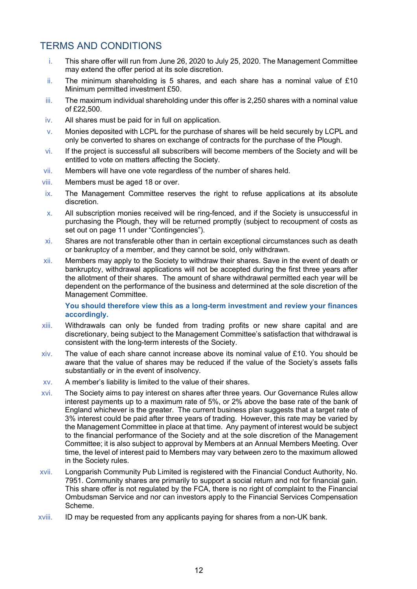# TERMS AND CONDITIONS

- i. This share offer will run from June 26, 2020 to July 25, 2020. The Management Committee may extend the offer period at its sole discretion.
- ii. The minimum shareholding is 5 shares, and each share has a nominal value of £10 Minimum permitted investment £50.
- iii. The maximum individual shareholding under this offer is 2,250 shares with a nominal value of £22,500.
- iv. All shares must be paid for in full on application.
- v. Monies deposited with LCPL for the purchase of shares will be held securely by LCPL and only be converted to shares on exchange of contracts for the purchase of the Plough.
- vi. If the project is successful all subscribers will become members of the Society and will be entitled to vote on matters affecting the Society.
- vii. Members will have one vote regardless of the number of shares held.
- viii. Members must be aged 18 or over.
- ix. The Management Committee reserves the right to refuse applications at its absolute discretion.
- x. All subscription monies received will be ring-fenced, and if the Society is unsuccessful in purchasing the Plough, they will be returned promptly (subject to recoupment of costs as set out on page 11 under "Contingencies").
- xi. Shares are not transferable other than in certain exceptional circumstances such as death or bankruptcy of a member, and they cannot be sold, only withdrawn.
- xii. Members may apply to the Society to withdraw their shares. Save in the event of death or bankruptcy, withdrawal applications will not be accepted during the first three years after the allotment of their shares. The amount of share withdrawal permitted each year will be dependent on the performance of the business and determined at the sole discretion of the Management Committee.

**You should therefore view this as a long-term investment and review your finances accordingly.**

- xiii. Withdrawals can only be funded from trading profits or new share capital and are discretionary, being subject to the Management Committee's satisfaction that withdrawal is consistent with the long-term interests of the Society.
- xiv. The value of each share cannot increase above its nominal value of £10. You should be aware that the value of shares may be reduced if the value of the Society's assets falls substantially or in the event of insolvency.
- xv. A member's liability is limited to the value of their shares.
- xvi. The Society aims to pay interest on shares after three years. Our Governance Rules allow interest payments up to a maximum rate of 5%, or 2% above the base rate of the bank of England whichever is the greater. The current business plan suggests that a target rate of 3% interest could be paid after three years of trading. However, this rate may be varied by the Management Committee in place at that time. Any payment of interest would be subject to the financial performance of the Society and at the sole discretion of the Management Committee; it is also subject to approval by Members at an Annual Members Meeting. Over time, the level of interest paid to Members may vary between zero to the maximum allowed in the Society rules.
- xvii. Longparish Community Pub Limited is registered with the Financial Conduct Authority, No. 7951. Community shares are primarily to support a social return and not for financial gain. This share offer is not regulated by the FCA, there is no right of complaint to the Financial Ombudsman Service and nor can investors apply to the Financial Services Compensation Scheme.
- xviii. ID may be requested from any applicants paying for shares from a non-UK bank.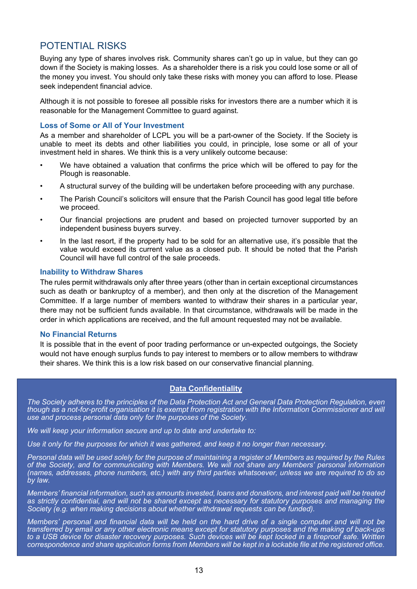# POTENTIAL RISKS

Buying any type of shares involves risk. Community shares can't go up in value, but they can go down if the Society is making losses. As a shareholder there is a risk you could lose some or all of the money you invest. You should only take these risks with money you can afford to lose. Please seek independent financial advice.

Although it is not possible to foresee all possible risks for investors there are a number which it is reasonable for the Management Committee to guard against.

#### **Loss of Some or All of Your Investment**

As a member and shareholder of LCPL you will be a part-owner of the Society. If the Society is unable to meet its debts and other liabilities you could, in principle, lose some or all of your investment held in shares. We think this is a very unlikely outcome because:

- We have obtained a valuation that confirms the price which will be offered to pay for the Plough is reasonable.
- A structural survey of the building will be undertaken before proceeding with any purchase.
- The Parish Council's solicitors will ensure that the Parish Council has good legal title before we proceed.
- Our financial projections are prudent and based on projected turnover supported by an independent business buyers survey.
- In the last resort, if the property had to be sold for an alternative use, it's possible that the value would exceed its current value as a closed pub. It should be noted that the Parish Council will have full control of the sale proceeds.

#### **Inability to Withdraw Shares**

The rules permit withdrawals only after three years (other than in certain exceptional circumstances such as death or bankruptcy of a member), and then only at the discretion of the Management Committee. If a large number of members wanted to withdraw their shares in a particular year, there may not be sufficient funds available. In that circumstance, withdrawals will be made in the order in which applications are received, and the full amount requested may not be available.

#### **No Financial Returns**

It is possible that in the event of poor trading performance or un-expected outgoings, the Society would not have enough surplus funds to pay interest to members or to allow members to withdraw their shares. We think this is a low risk based on our conservative financial planning.

## **Data Confidentiality**

*The Society adheres to the principles of the Data Protection Act and General Data Protection Regulation, even though as a not-for-profit organisation it is exempt from registration with the Information Commissioner and will use and process personal data only for the purposes of the Society.*

*We will keep your information secure and up to date and undertake to:*

Use it only for the purposes for which it was gathered, and keep it no longer than necessary.

*Personal data will be used solely for the purpose of maintaining a register of Members as required by the Rules of the Society, and for communicating with Members. We will not share any Members' personal information (names, addresses, phone numbers, etc.) with any third parties whatsoever, unless we are required to do so by law.* 

*Members' financial information, such as amounts invested, loans and donations, and interest paid will be treated as strictly confidential, and will not be shared except as necessary for statutory purposes and managing the Society (e.g. when making decisions about whether withdrawal requests can be funded).*

*Members' personal and financial data will be held on the hard drive of a single computer and will not be transferred by email or any other electronic means except for statutory purposes and the making of back-ups to a USB device for disaster recovery purposes. Such devices will be kept locked in a fireproof safe. Written correspondence and share application forms from Members will be kept in a lockable file at the registered office.*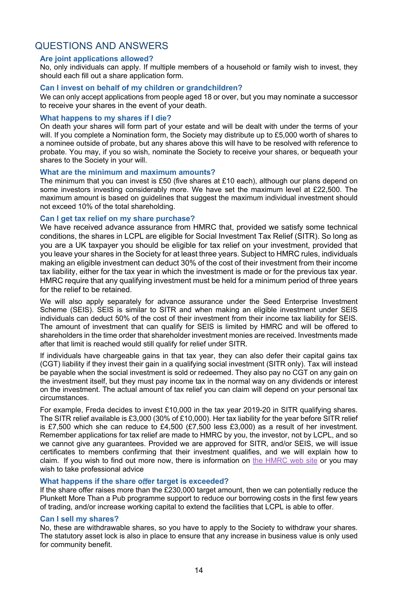# QUESTIONS AND ANSWERS

#### **Are joint applications allowed?**

No, only individuals can apply. If multiple members of a household or family wish to invest, they should each fill out a share application form.

#### **Can I invest on behalf of my children or grandchildren?**

We can only accept applications from people aged 18 or over, but you may nominate a successor to receive your shares in the event of your death.

#### **What happens to my shares if I die?**

On death your shares will form part of your estate and will be dealt with under the terms of your will. If you complete a Nomination form, the Society may distribute up to £5,000 worth of shares to a nominee outside of probate, but any shares above this will have to be resolved with reference to probate. You may, if you so wish, nominate the Society to receive your shares, or bequeath your shares to the Society in your will.

#### **What are the minimum and maximum amounts?**

The minimum that you can invest is £50 (five shares at £10 each), although our plans depend on some investors investing considerably more. We have set the maximum level at £22,500. The maximum amount is based on guidelines that suggest the maximum individual investment should not exceed 10% of the total shareholding.

#### **Can I get tax relief on my share purchase?**

We have received advance assurance from HMRC that, provided we satisfy some technical conditions, the shares in LCPL are eligible for Social Investment Tax Relief (SITR). So long as you are a UK taxpayer you should be eligible for tax relief on your investment, provided that you leave your shares in the Society for at least three years. Subject to HMRC rules, individuals making an eligible investment can deduct 30% of the cost of their investment from their income tax liability, either for the tax year in which the investment is made or for the previous tax year. HMRC require that any qualifying investment must be held for a minimum period of three years for the relief to be retained.

We will also apply separately for advance assurance under the Seed Enterprise Investment Scheme (SEIS). SEIS is similar to SITR and when making an eligible investment under SEIS individuals can deduct 50% of the cost of their investment from their income tax liability for SEIS. The amount of investment that can qualify for SEIS is limited by HMRC and will be offered to shareholders in the time order that shareholder investment monies are received. Investments made after that limit is reached would still qualify for relief under SITR.

If individuals have chargeable gains in that tax year, they can also defer their capital gains tax (CGT) liability if they invest their gain in a qualifying social investment (SITR only). Tax will instead be payable when the social investment is sold or redeemed. They also pay no CGT on any gain on the investment itself, but they must pay income tax in the normal way on any dividends or interest on the investment. The actual amount of tax relief you can claim will depend on your personal tax circumstances.

For example, Freda decides to invest £10,000 in the tax year 2019-20 in SITR qualifying shares. The SITR relief available is £3,000 (30% of £10,000). Her tax liability for the year before SITR relief is £7,500 which she can reduce to £4,500 (£7,500 less £3,000) as a result of her investment. Remember applications for tax relief are made to HMRC by you, the investor, not by LCPL, and so we cannot give any guarantees. Provided we are approved for SITR, and/or SEIS, we will issue certificates to members confirming that their investment qualifies, and we will explain how to claim. If you wish to find out more now, there is information on the HMRC web site or you may wish to take professional advice

## **What happens if the share o**ff**er target is exceeded?**

If the share offer raises more than the £230,000 target amount, then we can potentially reduce the Plunkett More Than a Pub programme support to reduce our borrowing costs in the first few years of trading, and/or increase working capital to extend the facilities that LCPL is able to offer.

#### **Can I sell my shares?**

No, these are withdrawable shares, so you have to apply to the Society to withdraw your shares. The statutory asset lock is also in place to ensure that any increase in business value is only used for community benefit.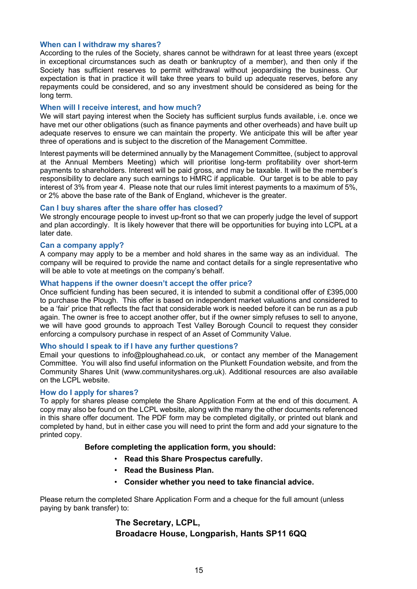#### **When can I withdraw my shares?**

According to the rules of the Society, shares cannot be withdrawn for at least three years (except in exceptional circumstances such as death or bankruptcy of a member), and then only if the Society has sufficient reserves to permit withdrawal without jeopardising the business. Our expectation is that in practice it will take three years to build up adequate reserves, before any repayments could be considered, and so any investment should be considered as being for the long term.

#### **When will I receive interest, and how much?**

We will start paying interest when the Society has sufficient surplus funds available, i.e. once we have met our other obligations (such as finance payments and other overheads) and have built up adequate reserves to ensure we can maintain the property. We anticipate this will be after year three of operations and is subject to the discretion of the Management Committee.

Interest payments will be determined annually by the Management Committee, (subject to approval at the Annual Members Meeting) which will prioritise long-term profitability over short-term payments to shareholders. Interest will be paid gross, and may be taxable. It will be the member's responsibility to declare any such earnings to HMRC if applicable. Our target is to be able to pay interest of 3% from year 4. Please note that our rules limit interest payments to a maximum of 5%, or 2% above the base rate of the Bank of England, whichever is the greater.

#### **Can I buy shares after the share offer has closed?**

We strongly encourage people to invest up-front so that we can properly judge the level of support and plan accordingly. It is likely however that there will be opportunities for buying into LCPL at a later date.

#### **Can a company apply?**

A company may apply to be a member and hold shares in the same way as an individual. The company will be required to provide the name and contact details for a single representative who will be able to vote at meetings on the company's behalf.

#### **What happens if the owner doesn't accept the offer price?**

Once sufficient funding has been secured, it is intended to submit a conditional offer of £395,000 to purchase the Plough. This offer is based on independent market valuations and considered to be a 'fair' price that reflects the fact that considerable work is needed before it can be run as a pub again. The owner is free to accept another offer, but if the owner simply refuses to sell to anyone, we will have good grounds to approach Test Valley Borough Council to request they consider enforcing a compulsory purchase in respect of an Asset of Community Value.

## **Who should I speak to if I have any further questions?**

Email your questions to info@ploughahead.co.uk, or contact any member of the Management Committee. You will also find useful information on the Plunkett Foundation website, and from the Community Shares Unit (www.communityshares.org.uk). Additional resources are also available on the LCPL website.

#### **How do I apply for shares?**

To apply for shares please complete the Share Application Form at the end of this document. A copy may also be found on the LCPL website, along with the many the other documents referenced in this share offer document. The PDF form may be completed digitally, or printed out blank and completed by hand, but in either case you will need to print the form and add your signature to the printed copy.

## **Before completing the application form, you should:**

- **Read this Share Prospectus carefully.**
- **Read the Business Plan.**
- **Consider whether you need to take financial advice.**

Please return the completed Share Application Form and a cheque for the full amount (unless paying by bank transfer) to:

# **The Secretary, LCPL, Broadacre House, Longparish, Hants SP11 6QQ**